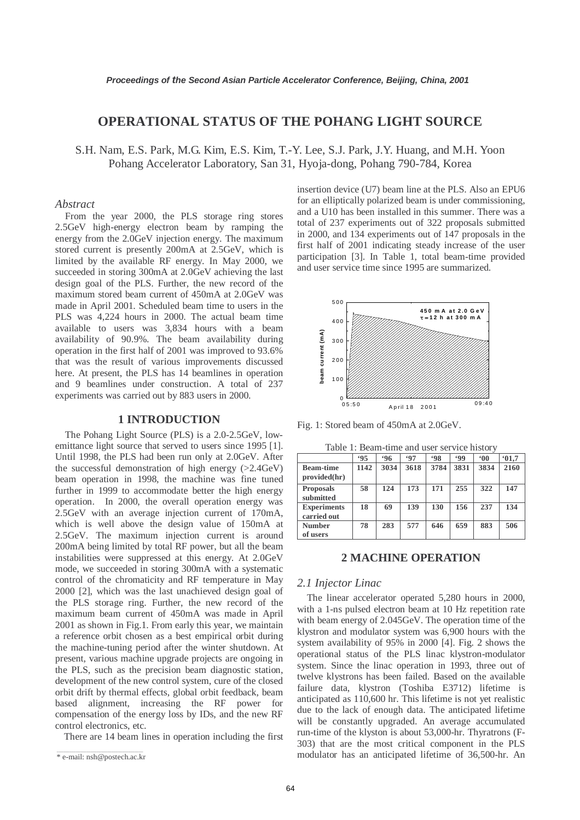# **OPERATIONAL STATUS OF THE POHANG LIGHT SOURCE**

S.H. Nam, E.S. Park, M.G. Kim, E.S. Kim, T.-Y. Lee, S.J. Park, J.Y. Huang, and M.H. Yoon Pohang Accelerator Laboratory, San 31, Hyoja-dong, Pohang 790-784, Korea

# *Abstract*

From the year 2000, the PLS storage ring stores 2.5GeV high-energy electron beam by ramping the energy from the 2.0GeV injection energy. The maximum stored current is presently 200mA at 2.5GeV, which is limited by the available RF energy. In May 2000, we succeeded in storing 300mA at 2.0GeV achieving the last design goal of the PLS. Further, the new record of the maximum stored beam current of 450mA at 2.0GeV was made in April 2001. Scheduled beam time to users in the PLS was 4,224 hours in 2000. The actual beam time available to users was 3,834 hours with a beam availability of 90.9%. The beam availability during operation in the first half of 2001 was improved to 93.6% that was the result of various improvements discussed here. At present, the PLS has 14 beamlines in operation and 9 beamlines under construction. A total of 237 experiments was carried out by 883 users in 2000.

# **1 INTRODUCTION**

The Pohang Light Source (PLS) is a 2.0-2.5GeV, lowemittance light source that served to users since 1995 [1]. Until 1998, the PLS had been run only at 2.0GeV. After the successful demonstration of high energy  $(>2.4GeV)$ beam operation in 1998, the machine was fine tuned further in 1999 to accommodate better the high energy operation. In 2000, the overall operation energy was 2.5GeV with an average injection current of 170mA, which is well above the design value of 150mA at 2.5GeV. The maximum injection current is around 200mA being limited by total RF power, but all the beam instabilities were suppressed at this energy. At 2.0GeV mode, we succeeded in storing 300mA with a systematic control of the chromaticity and RF temperature in May 2000 [2], which was the last unachieved design goal of the PLS storage ring. Further, the new record of the maximum beam current of 450mA was made in April 2001 as shown in Fig.1. From early this year, we maintain a reference orbit chosen as a best empirical orbit during the machine-tuning period after the winter shutdown. At present, various machine upgrade projects are ongoing in the PLS, such as the precision beam diagnostic station, development of the new control system, cure of the closed orbit drift by thermal effects, global orbit feedback, beam based alignment, increasing the RF power for compensation of the energy loss by IDs, and the new RF control electronics, etc.

There are 14 beam lines in operation including the first

insertion device (U7) beam line at the PLS. Also an EPU6 for an elliptically polarized beam is under commissioning, and a U10 has been installed in this summer. There was a total of 237 experiments out of 322 proposals submitted in 2000, and 134 experiments out of 147 proposals in the first half of 2001 indicating steady increase of the user participation [3]. In Table 1, total beam-time provided and user service time since 1995 are summarized.



Fig. 1: Stored beam of 450mA at 2.0GeV.

| raore 1. Deam thire and aber bet vice motor |      |      |      |           |      |              |      |
|---------------------------------------------|------|------|------|-----------|------|--------------|------|
|                                             | .95  | .96  | .97  | <b>98</b> | .99  | $00^{\circ}$ | 01.7 |
| <b>Beam-time</b><br>provided(hr)            | 1142 | 3034 | 3618 | 3784      | 3831 | 3834         | 2160 |
| <b>Proposals</b><br>submitted               | 58   | 124  | 173  | 171       | 255  | 322          | 147  |
| <b>Experiments</b><br>carried out           | 18   | 69   | 139  | 130       | 156  | 237          | 134  |
| <b>Number</b><br>of users                   | 78   | 283  | 577  | 646       | 659  | 883          | 506  |

Table 1: Beam-time and user service history

#### **2 MACHINE OPERATION**

#### *2.1 Injector Linac*

The linear accelerator operated 5,280 hours in 2000, with a 1-ns pulsed electron beam at 10 Hz repetition rate with beam energy of 2.045GeV. The operation time of the klystron and modulator system was 6,900 hours with the system availability of 95% in 2000 [4]. Fig. 2 shows the operational status of the PLS linac klystron-modulator system. Since the linac operation in 1993, three out of twelve klystrons has been failed. Based on the available failure data, klystron (Toshiba E3712) lifetime is anticipated as 110,600 hr. This lifetime is not yet realistic due to the lack of enough data. The anticipated lifetime will be constantly upgraded. An average accumulated run-time of the klyston is about 53,000-hr. Thyratrons (F-303) that are the most critical component in the PLS modulator has an anticipated lifetime of 36,500-hr. An

<sup>\*</sup> e-mail: nsh@postech.ac.kr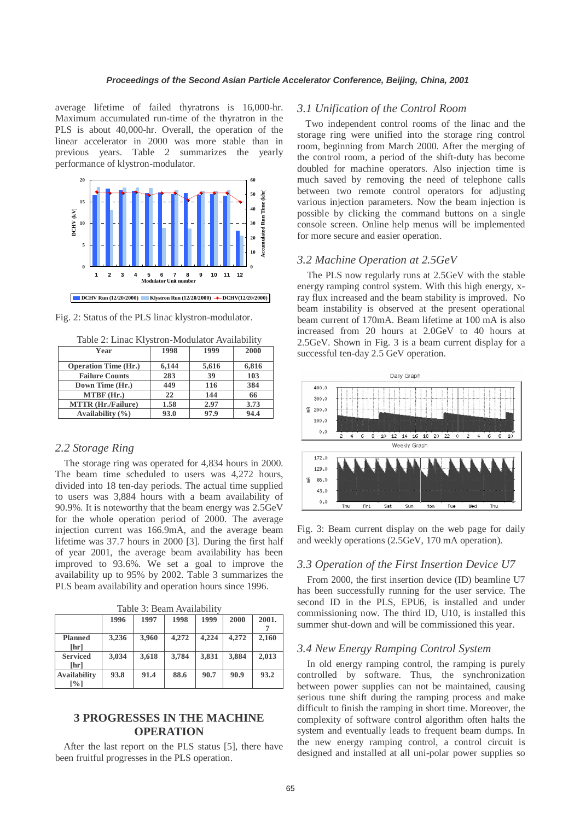average lifetime of failed thyratrons is 16,000-hr. Maximum accumulated run-time of the thyratron in the PLS is about 40,000-hr. Overall, the operation of the linear accelerator in 2000 was more stable than in previous years. Table 2 summarizes the yearly performance of klystron-modulator.



Fig. 2: Status of the PLS linac klystron-modulator.

|  |  | Table 2: Linac Klystron-Modulator Availability |
|--|--|------------------------------------------------|
|  |  |                                                |

| Year                        | 1998  | 1999  | 2000  |
|-----------------------------|-------|-------|-------|
| <b>Operation Time (Hr.)</b> | 6.144 | 5,616 | 6,816 |
| <b>Failure Counts</b>       | 283   | 39    | 103   |
| Down Time (Hr.)             | 449   | 116   | 384   |
| MTBF (Hr.)                  | 22    | 144   | 66    |
| <b>MTTR</b> (Hr./Failure)   | 1.58  | 2.97  | 3.73  |
| Availability $(\% )$        | 93.0  | 97.9  | 94.4  |

## *2.2 Storage Ring*

The storage ring was operated for 4,834 hours in 2000. The beam time scheduled to users was 4,272 hours, divided into 18 ten-day periods. The actual time supplied to users was 3,884 hours with a beam availability of 90.9%. It is noteworthy that the beam energy was 2.5GeV for the whole operation period of 2000. The average injection current was 166.9mA, and the average beam lifetime was 37.7 hours in 2000 [3]. During the first half of year 2001, the average beam availability has been improved to 93.6%. We set a goal to improve the availability up to 95% by 2002. Table 3 summarizes the PLS beam availability and operation hours since 1996.

Table 3: Beam Availability

|                        | 1996  | 1997  | 1998  | 1999  | 2000  | 2001. |
|------------------------|-------|-------|-------|-------|-------|-------|
| <b>Planned</b><br>[hr] | 3,236 | 3.960 | 4,272 | 4,224 | 4,272 | 2,160 |
| <b>Serviced</b>        | 3,034 | 3.618 | 3,784 | 3.831 | 3.884 | 2.013 |
| [hr]                   |       |       |       |       |       |       |
| <b>Availability</b>    | 93.8  | 91.4  | 88.6  | 90.7  | 90.9  | 93.2  |
| $\lceil\% \rceil$      |       |       |       |       |       |       |

# **3 PROGRESSES IN THE MACHINE OPERATION**

After the last report on the PLS status [5], there have been fruitful progresses in the PLS operation.

## *3.1 Unification of the Control Room*

Two independent control rooms of the linac and the storage ring were unified into the storage ring control room, beginning from March 2000. After the merging of the control room, a period of the shift-duty has become doubled for machine operators. Also injection time is much saved by removing the need of telephone calls between two remote control operators for adjusting various injection parameters. Now the beam injection is possible by clicking the command buttons on a single console screen. Online help menus will be implemented for more secure and easier operation.

#### *3.2 Machine Operation at 2.5GeV*

The PLS now regularly runs at 2.5GeV with the stable energy ramping control system. With this high energy, xray flux increased and the beam stability is improved. No beam instability is observed at the present operational beam current of 170mA. Beam lifetime at 100 mA is also increased from 20 hours at 2.0GeV to 40 hours at 2.5GeV. Shown in Fig. 3 is a beam current display for a successful ten-day 2.5 GeV operation.



Fig. 3: Beam current display on the web page for daily and weekly operations (2.5GeV, 170 mA operation).

#### *3.3 Operation of the First Insertion Device U7*

From 2000, the first insertion device (ID) beamline U7 has been successfully running for the user service. The second ID in the PLS, EPU6, is installed and under commissioning now. The third ID, U10, is installed this summer shut-down and will be commissioned this year.

# *3.4 New Energy Ramping Control System*

In old energy ramping control, the ramping is purely controlled by software. Thus, the synchronization between power supplies can not be maintained, causing serious tune shift during the ramping process and make difficult to finish the ramping in short time. Moreover, the complexity of software control algorithm often halts the system and eventually leads to frequent beam dumps. In the new energy ramping control, a control circuit is designed and installed at all uni-polar power supplies so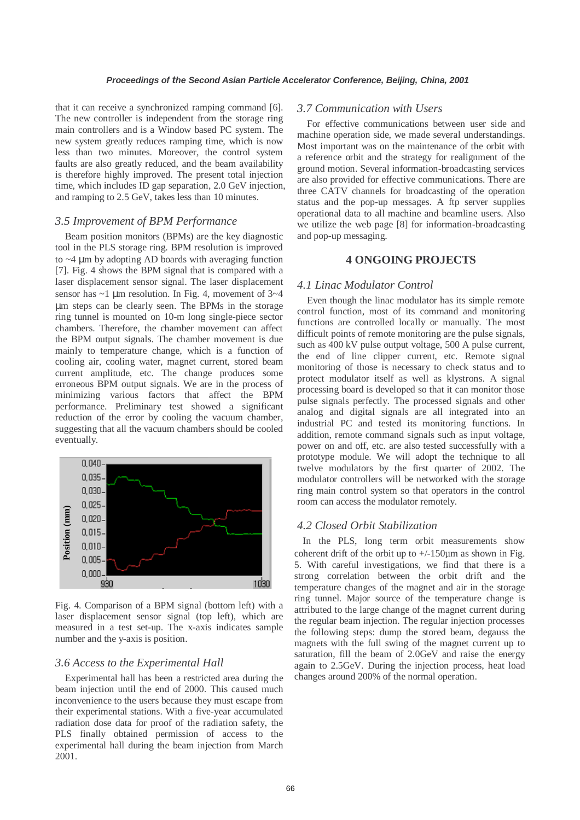that it can receive a synchronized ramping command [6]. The new controller is independent from the storage ring main controllers and is a Window based PC system. The new system greatly reduces ramping time, which is now less than two minutes. Moreover, the control system faults are also greatly reduced, and the beam availability is therefore highly improved. The present total injection time, which includes ID gap separation, 2.0 GeV injection, and ramping to 2.5 GeV, takes less than 10 minutes.

## *3.5 Improvement of BPM Performance*

Beam position monitors (BPMs) are the key diagnostic tool in the PLS storage ring. BPM resolution is improved to  $\sim$ 4  $\mu$ m by adopting AD boards with averaging function [7]. Fig. 4 shows the BPM signal that is compared with a laser displacement sensor signal. The laser displacement sensor has  $\sim$ 1 µm resolution. In Fig. 4, movement of 3 $\sim$ 4 µm steps can be clearly seen. The BPMs in the storage ring tunnel is mounted on 10-m long single-piece sector chambers. Therefore, the chamber movement can affect the BPM output signals. The chamber movement is due mainly to temperature change, which is a function of cooling air, cooling water, magnet current, stored beam current amplitude, etc. The change produces some erroneous BPM output signals. We are in the process of minimizing various factors that affect the BPM performance. Preliminary test showed a significant reduction of the error by cooling the vacuum chamber, suggesting that all the vacuum chambers should be cooled eventually.



Fig. 4. Comparison of a BPM signal (bottom left) with a laser displacement sensor signal (top left), which are measured in a test set-up. The x-axis indicates sample number and the y-axis is position.

#### *3.6 Access to the Experimental Hall*

Experimental hall has been a restricted area during the beam injection until the end of 2000. This caused much inconvenience to the users because they must escape from their experimental stations. With a five-year accumulated radiation dose data for proof of the radiation safety, the PLS finally obtained permission of access to the experimental hall during the beam injection from March 2001.

# *3.7 Communication with Users*

For effective communications between user side and machine operation side, we made several understandings. Most important was on the maintenance of the orbit with a reference orbit and the strategy for realignment of the ground motion. Several information-broadcasting services are also provided for effective communications. There are three CATV channels for broadcasting of the operation status and the pop-up messages. A ftp server supplies operational data to all machine and beamline users. Also we utilize the web page [8] for information-broadcasting and pop-up messaging.

# **4 ONGOING PROJECTS**

# *4.1 Linac Modulator Control*

Even though the linac modulator has its simple remote control function, most of its command and monitoring functions are controlled locally or manually. The most difficult points of remote monitoring are the pulse signals, such as 400 kV pulse output voltage, 500 A pulse current, the end of line clipper current, etc. Remote signal monitoring of those is necessary to check status and to protect modulator itself as well as klystrons. A signal processing board is developed so that it can monitor those pulse signals perfectly. The processed signals and other analog and digital signals are all integrated into an industrial PC and tested its monitoring functions. In addition, remote command signals such as input voltage, power on and off, etc. are also tested successfully with a prototype module. We will adopt the technique to all twelve modulators by the first quarter of 2002. The modulator controllers will be networked with the storage ring main control system so that operators in the control room can access the modulator remotely.

# *4.2 Closed Orbit Stabilization*

In the PLS, long term orbit measurements show coherent drift of the orbit up to  $+/-150$ um as shown in Fig. 5. With careful investigations, we find that there is a strong correlation between the orbit drift and the temperature changes of the magnet and air in the storage ring tunnel. Major source of the temperature change is attributed to the large change of the magnet current during the regular beam injection. The regular injection processes the following steps: dump the stored beam, degauss the magnets with the full swing of the magnet current up to saturation, fill the beam of 2.0GeV and raise the energy again to 2.5GeV. During the injection process, heat load changes around 200% of the normal operation.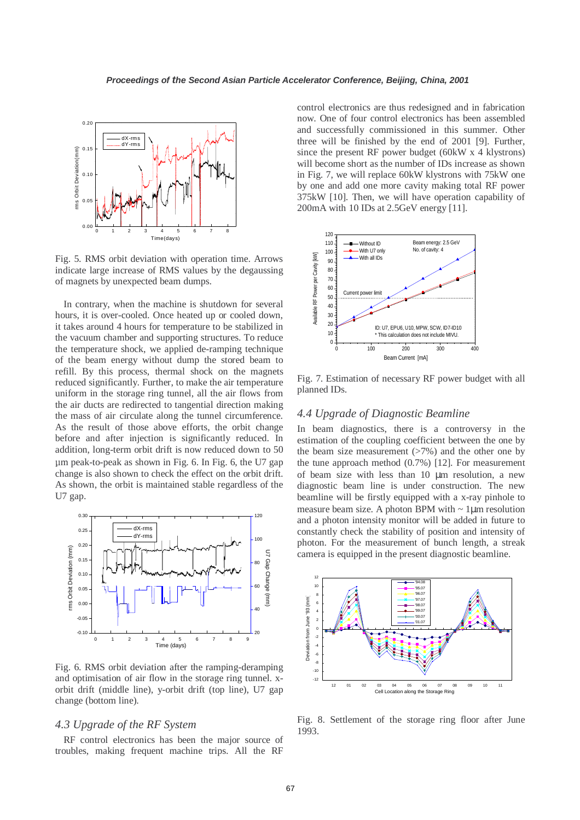

Fig. 5. RMS orbit deviation with operation time. Arrows indicate large increase of RMS values by the degaussing of magnets by unexpected beam dumps.

In contrary, when the machine is shutdown for several hours, it is over-cooled. Once heated up or cooled down, it takes around 4 hours for temperature to be stabilized in the vacuum chamber and supporting structures. To reduce the temperature shock, we applied de-ramping technique of the beam energy without dump the stored beam to refill. By this process, thermal shock on the magnets reduced significantly. Further, to make the air temperature uniform in the storage ring tunnel, all the air flows from the air ducts are redirected to tangential direction making the mass of air circulate along the tunnel circumference. As the result of those above efforts, the orbit change before and after injection is significantly reduced. In addition, long-term orbit drift is now reduced down to 50 μm peak-to-peak as shown in Fig. 6. In Fig. 6, the U7 gap change is also shown to check the effect on the orbit drift. As shown, the orbit is maintained stable regardless of the U7 gap.



Fig. 6. RMS orbit deviation after the ramping-deramping and optimisation of air flow in the storage ring tunnel. xorbit drift (middle line), y-orbit drift (top line), U7 gap change (bottom line).

#### *4.3 Upgrade of the RF System*

RF control electronics has been the major source of troubles, making frequent machine trips. All the RF control electronics are thus redesigned and in fabrication now. One of four control electronics has been assembled and successfully commissioned in this summer. Other three will be finished by the end of 2001 [9]. Further, since the present RF power budget (60kW x 4 klystrons) will become short as the number of IDs increase as shown in Fig. 7, we will replace 60kW klystrons with 75kW one by one and add one more cavity making total RF power 375kW [10]. Then, we will have operation capability of 200mA with 10 IDs at 2.5GeV energy [11].



Fig. 7. Estimation of necessary RF power budget with all planned IDs.

### *4.4 Upgrade of Diagnostic Beamline*

In beam diagnostics, there is a controversy in the estimation of the coupling coefficient between the one by the beam size measurement  $($ >7%) and the other one by the tune approach method (0.7%) [12]. For measurement of beam size with less than 10 µm resolution, a new diagnostic beam line is under construction. The new beamline will be firstly equipped with a x-ray pinhole to measure beam size. A photon BPM with  $\sim 1 \mu m$  resolution and a photon intensity monitor will be added in future to constantly check the stability of position and intensity of photon. For the measurement of bunch length, a streak camera is equipped in the present diagnostic beamline.



Fig. 8. Settlement of the storage ring floor after June 1993.